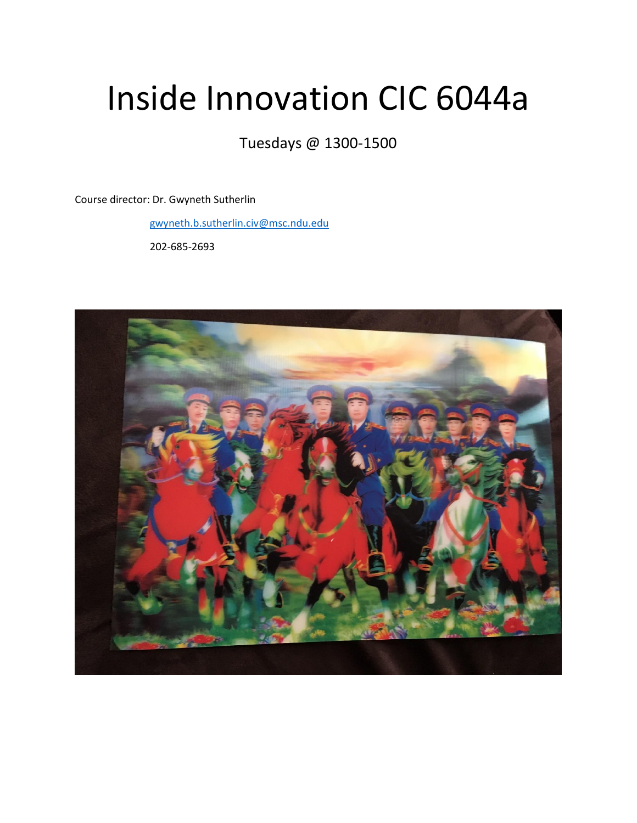## Inside Innovation CIC 6044a

Tuesdays @ 1300-1500

Course director: Dr. Gwyneth Sutherlin

[gwyneth.b.sutherlin.civ@msc.ndu.edu](mailto:gwyneth.b.sutherlin.civ@msc.ndu.edu)

202-685-2693